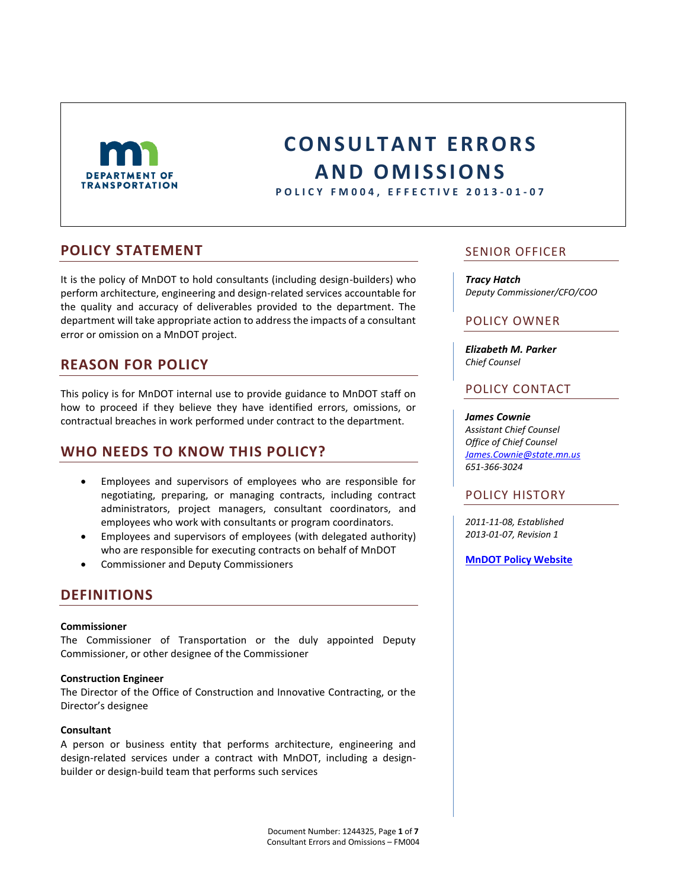

# **C O N S U L T A N T E R R O R S A N D O M I S S I O N S**

**P O L I C Y F M 0 0 4 , E F F E C T I V E 2013 - 0 1 - 0 7**

### **POLICY STATEMENT**

It is the policy of MnDOT to hold consultants (including design-builders) who perform architecture, engineering and design-related services accountable for the quality and accuracy of deliverables provided to the department. The department will take appropriate action to address the impacts of a consultant error or omission on a MnDOT project.

# **REASON FOR POLICY**

This policy is for MnDOT internal use to provide guidance to MnDOT staff on how to proceed if they believe they have identified errors, omissions, or contractual breaches in work performed under contract to the department.

# **WHO NEEDS TO KNOW THIS POLICY?**

- Employees and supervisors of employees who are responsible for negotiating, preparing, or managing contracts, including contract administrators, project managers, consultant coordinators, and employees who work with consultants or program coordinators.
- Employees and supervisors of employees (with delegated authority) who are responsible for executing contracts on behalf of MnDOT
- Commissioner and Deputy Commissioners

### **DEFINITIONS**

#### **Commissioner**

The Commissioner of Transportation or the duly appointed Deputy Commissioner, or other designee of the Commissioner

#### **Construction Engineer**

The Director of the Office of Construction and Innovative Contracting, or the Director's designee

#### **Consultant**

A person or business entity that performs architecture, engineering and design-related services under a contract with MnDOT, including a designbuilder or design-build team that performs such services

### SENIOR OFFICER

*Tracy Hatch Deputy Commissioner/CFO/COO*

#### POLICY OWNER

*Elizabeth M. Parker Chief Counsel*

### POLICY CONTACT

#### *James Cownie*

*Assistant Chief Counsel Office of Chief Counsel [James.Cownie@state.mn.us](mailto:James.cownie@state.mn.us) 651-366-3024*

#### POLICY HISTORY

*2011-11-08, Established 2013-01-07, Revision 1*

**[MnDOT Policy Website](http://www.dot.state.mn.us/policy/index.html)**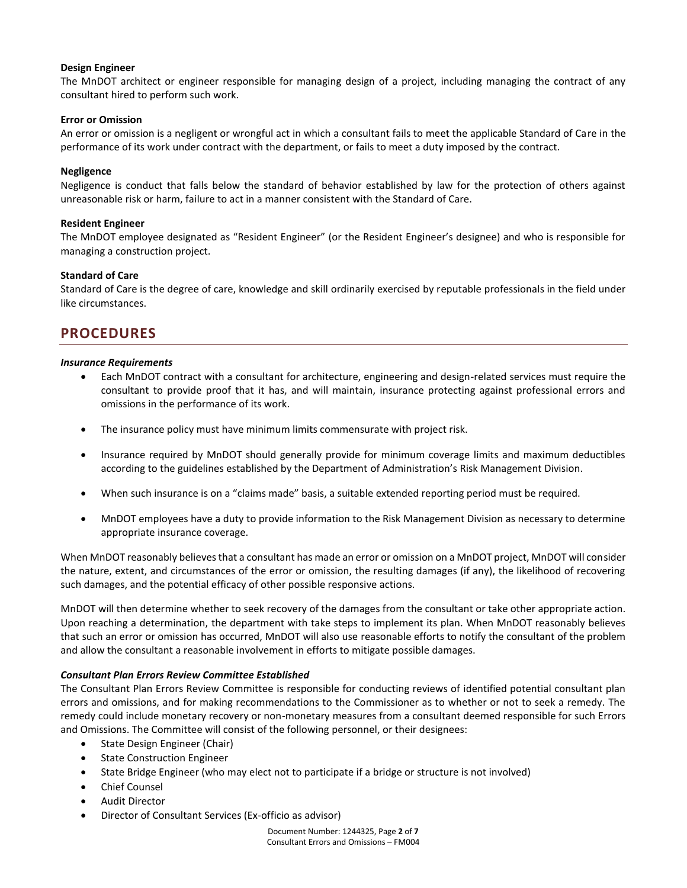#### **Design Engineer**

The MnDOT architect or engineer responsible for managing design of a project, including managing the contract of any consultant hired to perform such work.

#### **Error or Omission**

An error or omission is a negligent or wrongful act in which a consultant fails to meet the applicable Standard of Care in the performance of its work under contract with the department, or fails to meet a duty imposed by the contract.

#### **Negligence**

Negligence is conduct that falls below the standard of behavior established by law for the protection of others against unreasonable risk or harm, failure to act in a manner consistent with the Standard of Care.

#### **Resident Engineer**

The MnDOT employee designated as "Resident Engineer" (or the Resident Engineer's designee) and who is responsible for managing a construction project.

#### **Standard of Care**

Standard of Care is the degree of care, knowledge and skill ordinarily exercised by reputable professionals in the field under like circumstances.

# **PROCEDURES**

#### *Insurance Requirements*

- Each MnDOT contract with a consultant for architecture, engineering and design-related services must require the consultant to provide proof that it has, and will maintain, insurance protecting against professional errors and omissions in the performance of its work.
- The insurance policy must have minimum limits commensurate with project risk.
- Insurance required by MnDOT should generally provide for minimum coverage limits and maximum deductibles according to the guidelines established by the Department of Administration's Risk Management Division.
- When such insurance is on a "claims made" basis, a suitable extended reporting period must be required.
- MnDOT employees have a duty to provide information to the Risk Management Division as necessary to determine appropriate insurance coverage.

When MnDOT reasonably believes that a consultant has made an error or omission on a MnDOT project, MnDOT will consider the nature, extent, and circumstances of the error or omission, the resulting damages (if any), the likelihood of recovering such damages, and the potential efficacy of other possible responsive actions.

MnDOT will then determine whether to seek recovery of the damages from the consultant or take other appropriate action. Upon reaching a determination, the department with take steps to implement its plan. When MnDOT reasonably believes that such an error or omission has occurred, MnDOT will also use reasonable efforts to notify the consultant of the problem and allow the consultant a reasonable involvement in efforts to mitigate possible damages.

#### *Consultant Plan Errors Review Committee Established*

The Consultant Plan Errors Review Committee is responsible for conducting reviews of identified potential consultant plan errors and omissions, and for making recommendations to the Commissioner as to whether or not to seek a remedy. The remedy could include monetary recovery or non-monetary measures from a consultant deemed responsible for such Errors and Omissions. The Committee will consist of the following personnel, or their designees:

- State Design Engineer (Chair)
- State Construction Engineer
- State Bridge Engineer (who may elect not to participate if a bridge or structure is not involved)
- Chief Counsel
- Audit Director
- Director of Consultant Services (Ex-officio as advisor)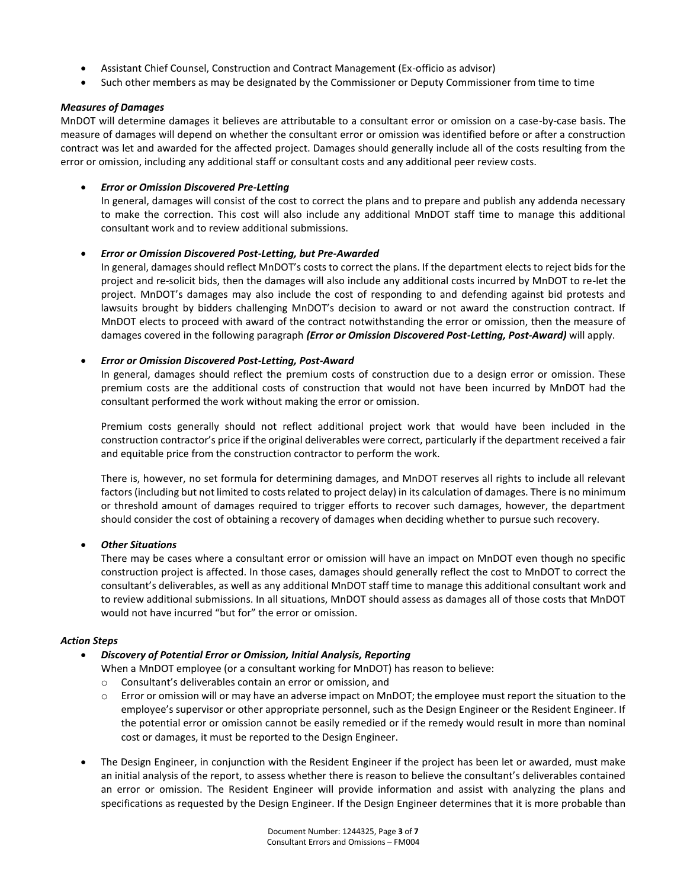- Assistant Chief Counsel, Construction and Contract Management (Ex-officio as advisor)
- Such other members as may be designated by the Commissioner or Deputy Commissioner from time to time

#### *Measures of Damages*

MnDOT will determine damages it believes are attributable to a consultant error or omission on a case-by-case basis. The measure of damages will depend on whether the consultant error or omission was identified before or after a construction contract was let and awarded for the affected project. Damages should generally include all of the costs resulting from the error or omission, including any additional staff or consultant costs and any additional peer review costs.

#### *Error or Omission Discovered Pre-Letting*

In general, damages will consist of the cost to correct the plans and to prepare and publish any addenda necessary to make the correction. This cost will also include any additional MnDOT staff time to manage this additional consultant work and to review additional submissions.

#### *Error or Omission Discovered Post-Letting, but Pre-Awarded*

In general, damages should reflect MnDOT's costs to correct the plans. If the department elects to reject bids for the project and re-solicit bids, then the damages will also include any additional costs incurred by MnDOT to re-let the project. MnDOT's damages may also include the cost of responding to and defending against bid protests and lawsuits brought by bidders challenging MnDOT's decision to award or not award the construction contract. If MnDOT elects to proceed with award of the contract notwithstanding the error or omission, then the measure of damages covered in the following paragraph *(Error or Omission Discovered Post-Letting, Post-Award)* will apply.

#### *Error or Omission Discovered Post-Letting, Post-Award*

In general, damages should reflect the premium costs of construction due to a design error or omission. These premium costs are the additional costs of construction that would not have been incurred by MnDOT had the consultant performed the work without making the error or omission.

Premium costs generally should not reflect additional project work that would have been included in the construction contractor's price if the original deliverables were correct, particularly if the department received a fair and equitable price from the construction contractor to perform the work.

There is, however, no set formula for determining damages, and MnDOT reserves all rights to include all relevant factors (including but not limited to costs related to project delay) in its calculation of damages. There is no minimum or threshold amount of damages required to trigger efforts to recover such damages, however, the department should consider the cost of obtaining a recovery of damages when deciding whether to pursue such recovery.

#### *Other Situations*

There may be cases where a consultant error or omission will have an impact on MnDOT even though no specific construction project is affected. In those cases, damages should generally reflect the cost to MnDOT to correct the consultant's deliverables, as well as any additional MnDOT staff time to manage this additional consultant work and to review additional submissions. In all situations, MnDOT should assess as damages all of those costs that MnDOT would not have incurred "but for" the error or omission.

#### *Action Steps*

#### *Discovery of Potential Error or Omission, Initial Analysis, Reporting*

When a MnDOT employee (or a consultant working for MnDOT) has reason to believe:

- o Consultant's deliverables contain an error or omission, and
- o Error or omission will or may have an adverse impact on MnDOT; the employee must report the situation to the employee's supervisor or other appropriate personnel, such as the Design Engineer or the Resident Engineer. If the potential error or omission cannot be easily remedied or if the remedy would result in more than nominal cost or damages, it must be reported to the Design Engineer.
- The Design Engineer, in conjunction with the Resident Engineer if the project has been let or awarded, must make an initial analysis of the report, to assess whether there is reason to believe the consultant's deliverables contained an error or omission. The Resident Engineer will provide information and assist with analyzing the plans and specifications as requested by the Design Engineer. If the Design Engineer determines that it is more probable than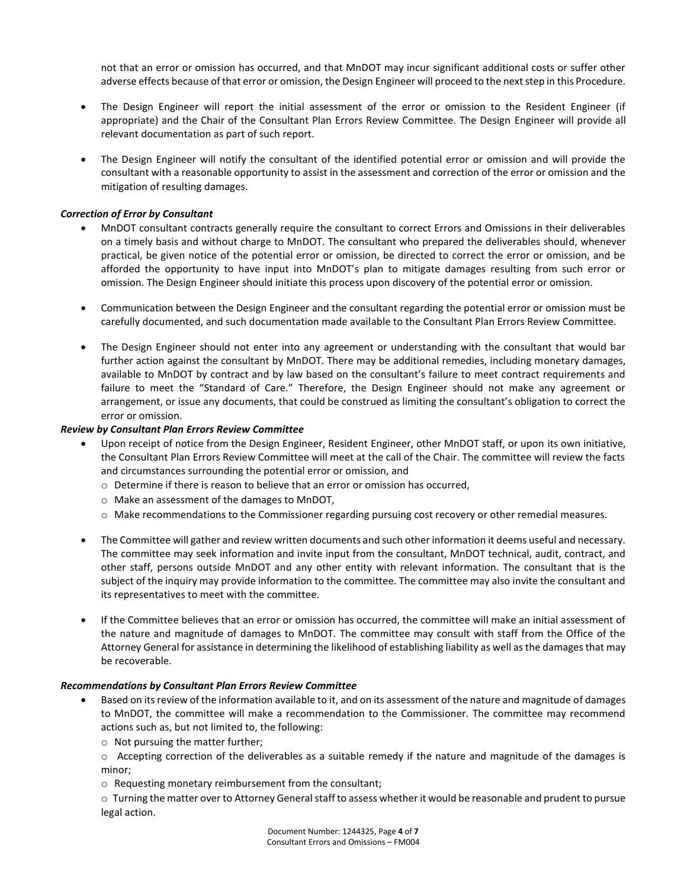not that an error or omission has occurred, and that MnDOT may incur significant additional costs or suffer other adverse effects because of that error or omission, the Design Engineer will proceed to the next step in this Procedure.

- The Design Engineer will report the initial assessment of the error or omission to the Resident Engineer (if appropriate) and the Chair of the Consultant Plan Errors Review Committee. The Design Engineer will provide all relevant documentation as part of such report.
- The Design Engineer will notify the consultant of the identified potential error or omission and will provide the consultant with a reasonable opportunity to assist in the assessment and correction of the error or omission and the mitigation of resulting damages.

#### *Correction of Error by Consultant*

- MnDOT consultant contracts generally require the consultant to correct Errors and Omissions in their deliverables on a timely basis and without charge to MnDOT. The consultant who prepared the deliverables should, whenever practical, be given notice of the potential error or omission, be directed to correct the error or omission, and be afforded the opportunity to have input into MnDOT's plan to mitigate damages resulting from such error or omission. The Design Engineer should initiate this process upon discovery of the potential error or omission.
- Communication between the Design Engineer and the consultant regarding the potential error or omission must be carefully documented, and such documentation made available to the Consultant Plan Errors Review Committee.
- The Design Engineer should not enter into any agreement or understanding with the consultant that would bar further action against the consultant by MnDOT. There may be additional remedies, including monetary damages, available to MnDOT by contract and by law based on the consultant's failure to meet contract requirements and failure to meet the "Standard of Care." Therefore, the Design Engineer should not make any agreement or arrangement, or issue any documents, that could be construed as limiting the consultant's obligation to correct the error or omission.

#### *Review by Consultant Plan Errors Review Committee*

- Upon receipt of notice from the Design Engineer, Resident Engineer, other MnDOT staff, or upon its own initiative, the Consultant Plan Errors Review Committee will meet at the call of the Chair. The committee will review the facts and circumstances surrounding the potential error or omission, and
	- $\circ$  Determine if there is reason to believe that an error or omission has occurred,
	- o Make an assessment of the damages to MnDOT,
	- $\circ$  Make recommendations to the Commissioner regarding pursuing cost recovery or other remedial measures.
- The Committee will gather and review written documents and such other information it deems useful and necessary. The committee may seek information and invite input from the consultant, MnDOT technical, audit, contract, and other staff, persons outside MnDOT and any other entity with relevant information. The consultant that is the subject of the inquiry may provide information to the committee. The committee may also invite the consultant and its representatives to meet with the committee.
- If the Committee believes that an error or omission has occurred, the committee will make an initial assessment of the nature and magnitude of damages to MnDOT. The committee may consult with staff from the Office of the Attorney General for assistance in determining the likelihood of establishing liability as well as the damages that may be recoverable.

#### *Recommendations by Consultant Plan Errors Review Committee*

- Based on its review of the information available to it, and on its assessment of the nature and magnitude of damages to MnDOT, the committee will make a recommendation to the Commissioner. The committee may recommend actions such as, but not limited to, the following:
	- o Not pursuing the matter further;

 $\circ$  Accepting correction of the deliverables as a suitable remedy if the nature and magnitude of the damages is minor;

o Requesting monetary reimbursement from the consultant;

 $\circ$  Turning the matter over to Attorney General staff to assess whether it would be reasonable and prudent to pursue legal action.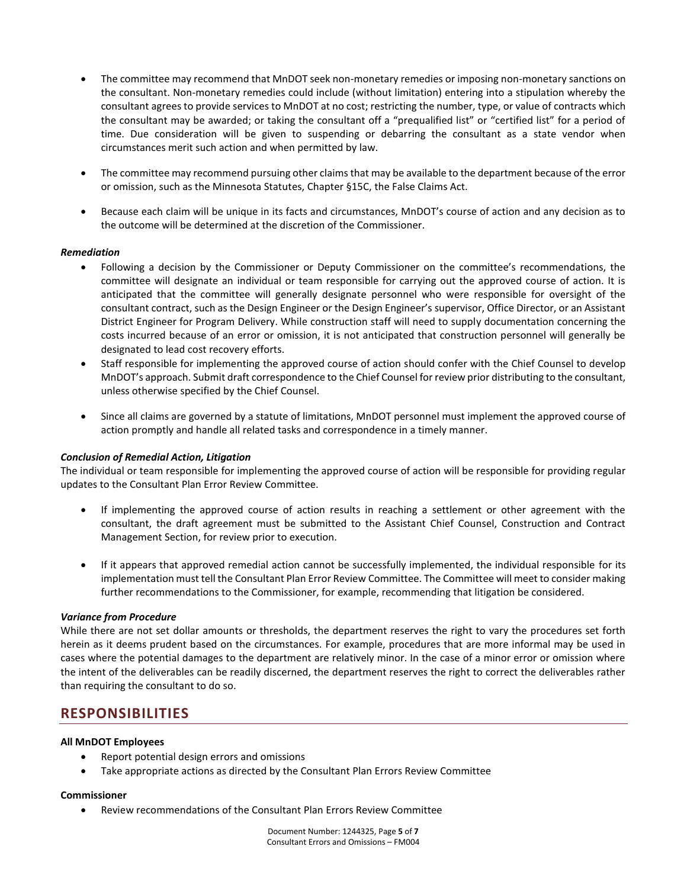- The committee may recommend that MnDOT seek non-monetary remedies or imposing non-monetary sanctions on the consultant. Non-monetary remedies could include (without limitation) entering into a stipulation whereby the consultant agrees to provide services to MnDOT at no cost; restricting the number, type, or value of contracts which the consultant may be awarded; or taking the consultant off a "prequalified list" or "certified list" for a period of time. Due consideration will be given to suspending or debarring the consultant as a state vendor when circumstances merit such action and when permitted by law.
- The committee may recommend pursuing other claims that may be available to the department because of the error or omission, such as the Minnesota Statutes, Chapter §15C, the False Claims Act.
- Because each claim will be unique in its facts and circumstances, MnDOT's course of action and any decision as to the outcome will be determined at the discretion of the Commissioner.

#### *Remediation*

- Following a decision by the Commissioner or Deputy Commissioner on the committee's recommendations, the committee will designate an individual or team responsible for carrying out the approved course of action. It is anticipated that the committee will generally designate personnel who were responsible for oversight of the consultant contract, such as the Design Engineer or the Design Engineer's supervisor, Office Director, or an Assistant District Engineer for Program Delivery. While construction staff will need to supply documentation concerning the costs incurred because of an error or omission, it is not anticipated that construction personnel will generally be designated to lead cost recovery efforts.
- Staff responsible for implementing the approved course of action should confer with the Chief Counsel to develop MnDOT's approach. Submit draft correspondence to the Chief Counsel for review prior distributing to the consultant, unless otherwise specified by the Chief Counsel.
- Since all claims are governed by a statute of limitations, MnDOT personnel must implement the approved course of action promptly and handle all related tasks and correspondence in a timely manner.

#### *Conclusion of Remedial Action, Litigation*

The individual or team responsible for implementing the approved course of action will be responsible for providing regular updates to the Consultant Plan Error Review Committee.

- If implementing the approved course of action results in reaching a settlement or other agreement with the consultant, the draft agreement must be submitted to the Assistant Chief Counsel, Construction and Contract Management Section, for review prior to execution.
- If it appears that approved remedial action cannot be successfully implemented, the individual responsible for its implementation must tell the Consultant Plan Error Review Committee. The Committee will meet to consider making further recommendations to the Commissioner, for example, recommending that litigation be considered.

#### *Variance from Procedure*

While there are not set dollar amounts or thresholds, the department reserves the right to vary the procedures set forth herein as it deems prudent based on the circumstances. For example, procedures that are more informal may be used in cases where the potential damages to the department are relatively minor. In the case of a minor error or omission where the intent of the deliverables can be readily discerned, the department reserves the right to correct the deliverables rather than requiring the consultant to do so.

### **RESPONSIBILITIES**

#### **All MnDOT Employees**

- Report potential design errors and omissions
- Take appropriate actions as directed by the Consultant Plan Errors Review Committee

#### **Commissioner**

Review recommendations of the Consultant Plan Errors Review Committee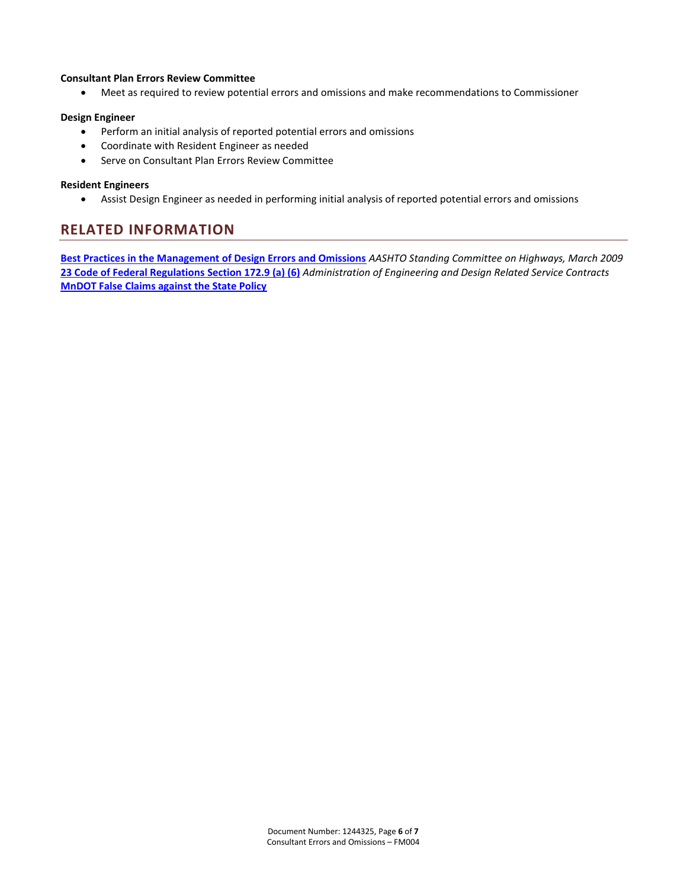#### **Consultant Plan Errors Review Committee**

Meet as required to review potential errors and omissions and make recommendations to Commissioner

#### **Design Engineer**

- Perform an initial analysis of reported potential errors and omissions
- Coordinate with Resident Engineer as needed
- Serve on Consultant Plan Errors Review Committee

#### **Resident Engineers**

Assist Design Engineer as needed in performing initial analysis of reported potential errors and omissions

## **RELATED INFORMATION**

**[Best Practices in the Management of Design Errors and Omissions](http://construction.transportation.org/Documents/NCHRPProject20-7,Task225,BestPracticesintheManagementofDesignErrorsandOmissions,FinalReportMarch2009.pdf)** *AASHTO Standing Committee on Highways, March 2009* **[23 Code of Federal Regulations Section 172.9 \(a\) \(6\)](http://www.fhwa.dot.gov/programadmin/23cfr172.cfm)** *Administration of Engineering and Design Related Service Contracts* **[MnDOT False Claims against the State Policy](http://www.dot.state.mn.us/policy/financial/fm002.html)**